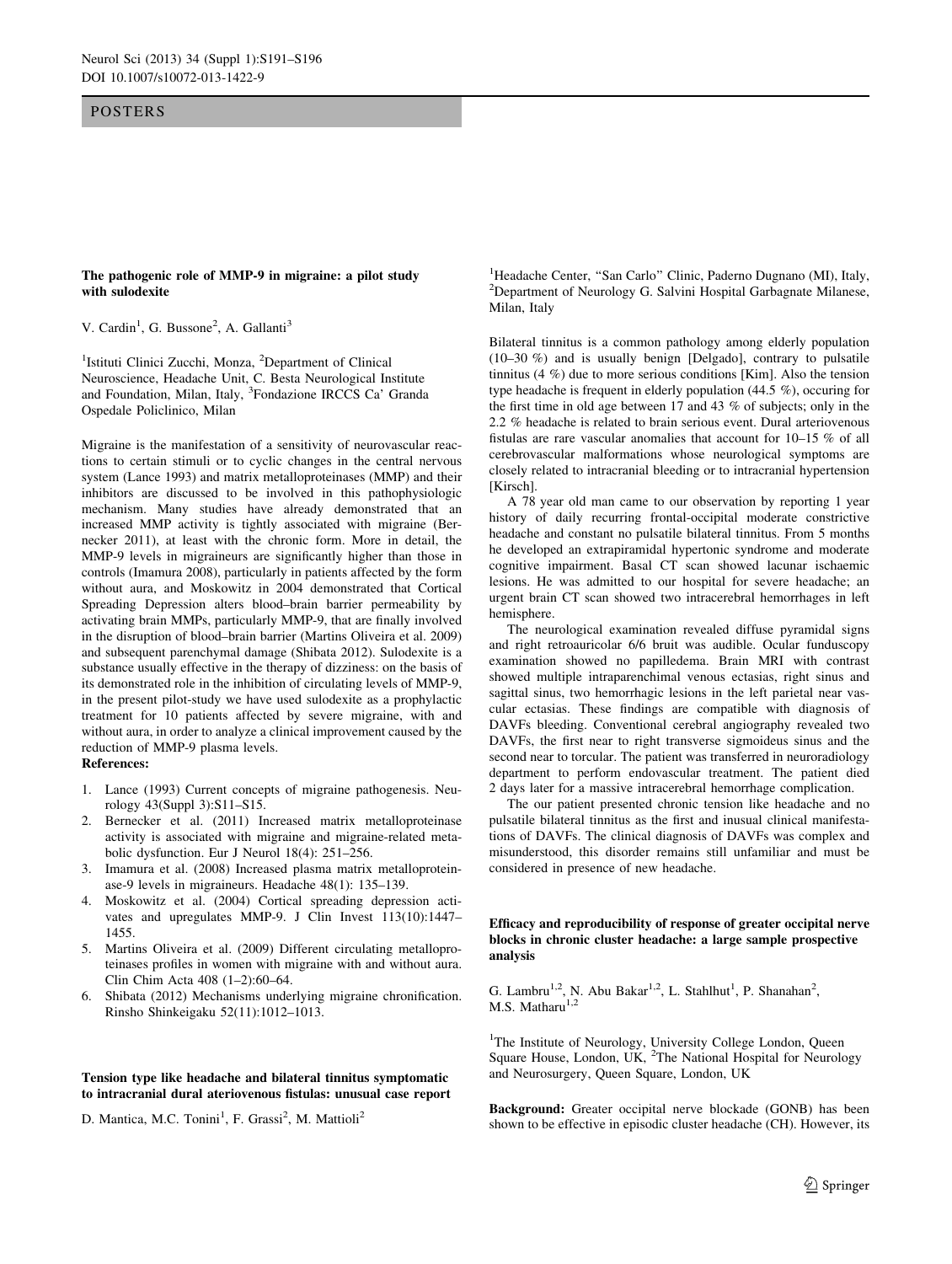# **POSTERS**

### The pathogenic role of MMP-9 in migraine: a pilot study with sulodexite

V. Cardin<sup>1</sup>, G. Bussone<sup>2</sup>, A. Gallanti<sup>3</sup>

<sup>1</sup>Istituti Clinici Zucchi, Monza, <sup>2</sup>Department of Clinical Neuroscience, Headache Unit, C. Besta Neurological Institute and Foundation, Milan, Italy, <sup>3</sup>Fondazione IRCCS Ca' Granda Ospedale Policlinico, Milan

Migraine is the manifestation of a sensitivity of neurovascular reactions to certain stimuli or to cyclic changes in the central nervous system (Lance 1993) and matrix metalloproteinases (MMP) and their inhibitors are discussed to be involved in this pathophysiologic mechanism. Many studies have already demonstrated that an increased MMP activity is tightly associated with migraine (Bernecker 2011), at least with the chronic form. More in detail, the MMP-9 levels in migraineurs are significantly higher than those in controls (Imamura 2008), particularly in patients affected by the form without aura, and Moskowitz in 2004 demonstrated that Cortical Spreading Depression alters blood–brain barrier permeability by activating brain MMPs, particularly MMP-9, that are finally involved in the disruption of blood–brain barrier (Martins Oliveira et al. 2009) and subsequent parenchymal damage (Shibata 2012). Sulodexite is a substance usually effective in the therapy of dizziness: on the basis of its demonstrated role in the inhibition of circulating levels of MMP-9, in the present pilot-study we have used sulodexite as a prophylactic treatment for 10 patients affected by severe migraine, with and without aura, in order to analyze a clinical improvement caused by the reduction of MMP-9 plasma levels.

# References:

- 1. Lance (1993) Current concepts of migraine pathogenesis. Neurology 43(Suppl 3):S11–S15.
- 2. Bernecker et al. (2011) Increased matrix metalloproteinase activity is associated with migraine and migraine-related metabolic dysfunction. Eur J Neurol 18(4): 251–256.
- 3. Imamura et al. (2008) Increased plasma matrix metalloproteinase-9 levels in migraineurs. Headache 48(1): 135–139.
- 4. Moskowitz et al. (2004) Cortical spreading depression activates and upregulates MMP-9. J Clin Invest 113(10):1447– 1455.
- 5. Martins Oliveira et al. (2009) Different circulating metalloproteinases profiles in women with migraine with and without aura. Clin Chim Acta 408 (1–2):60–64.
- 6. Shibata (2012) Mechanisms underlying migraine chronification. Rinsho Shinkeigaku 52(11):1012–1013.

# Tension type like headache and bilateral tinnitus symptomatic to intracranial dural ateriovenous fistulas: unusual case report

D. Mantica, M.C. Tonini<sup>1</sup>, F. Grassi<sup>2</sup>, M. Mattioli<sup>2</sup>

<sup>1</sup>Headache Center, "San Carlo" Clinic, Paderno Dugnano (MI), Italy, <sup>2</sup>Department of Neurology G. Salvini Hospital Garbagnate Milanese, Milan, Italy

Bilateral tinnitus is a common pathology among elderly population (10–30 %) and is usually benign [Delgado], contrary to pulsatile tinnitus (4 %) due to more serious conditions [Kim]. Also the tension type headache is frequent in elderly population (44.5 %), occuring for the first time in old age between 17 and 43 % of subjects; only in the 2.2 % headache is related to brain serious event. Dural arteriovenous fistulas are rare vascular anomalies that account for 10–15 % of all cerebrovascular malformations whose neurological symptoms are closely related to intracranial bleeding or to intracranial hypertension [Kirsch].

A 78 year old man came to our observation by reporting 1 year history of daily recurring frontal-occipital moderate constrictive headache and constant no pulsatile bilateral tinnitus. From 5 months he developed an extrapiramidal hypertonic syndrome and moderate cognitive impairment. Basal CT scan showed lacunar ischaemic lesions. He was admitted to our hospital for severe headache; an urgent brain CT scan showed two intracerebral hemorrhages in left hemisphere.

The neurological examination revealed diffuse pyramidal signs and right retroauricolar 6/6 bruit was audible. Ocular funduscopy examination showed no papilledema. Brain MRI with contrast showed multiple intraparenchimal venous ectasias, right sinus and sagittal sinus, two hemorrhagic lesions in the left parietal near vascular ectasias. These findings are compatible with diagnosis of DAVFs bleeding. Conventional cerebral angiography revealed two DAVFs, the first near to right transverse sigmoideus sinus and the second near to torcular. The patient was transferred in neuroradiology department to perform endovascular treatment. The patient died 2 days later for a massive intracerebral hemorrhage complication.

The our patient presented chronic tension like headache and no pulsatile bilateral tinnitus as the first and inusual clinical manifestations of DAVFs. The clinical diagnosis of DAVFs was complex and misunderstood, this disorder remains still unfamiliar and must be considered in presence of new headache.

## Efficacy and reproducibility of response of greater occipital nerve blocks in chronic cluster headache: a large sample prospective analysis

G. Lambru<sup>1,2</sup>, N. Abu Bakar<sup>1,2</sup>, L. Stahlhut<sup>1</sup>, P. Shanahan<sup>2</sup>, M.S. Matharu $1,2$ 

<sup>1</sup>The Institute of Neurology, University College London, Queen Square House, London, UK, <sup>2</sup>The National Hospital for Neurology and Neurosurgery, Queen Square, London, UK

Background: Greater occipital nerve blockade (GONB) has been shown to be effective in episodic cluster headache (CH). However, its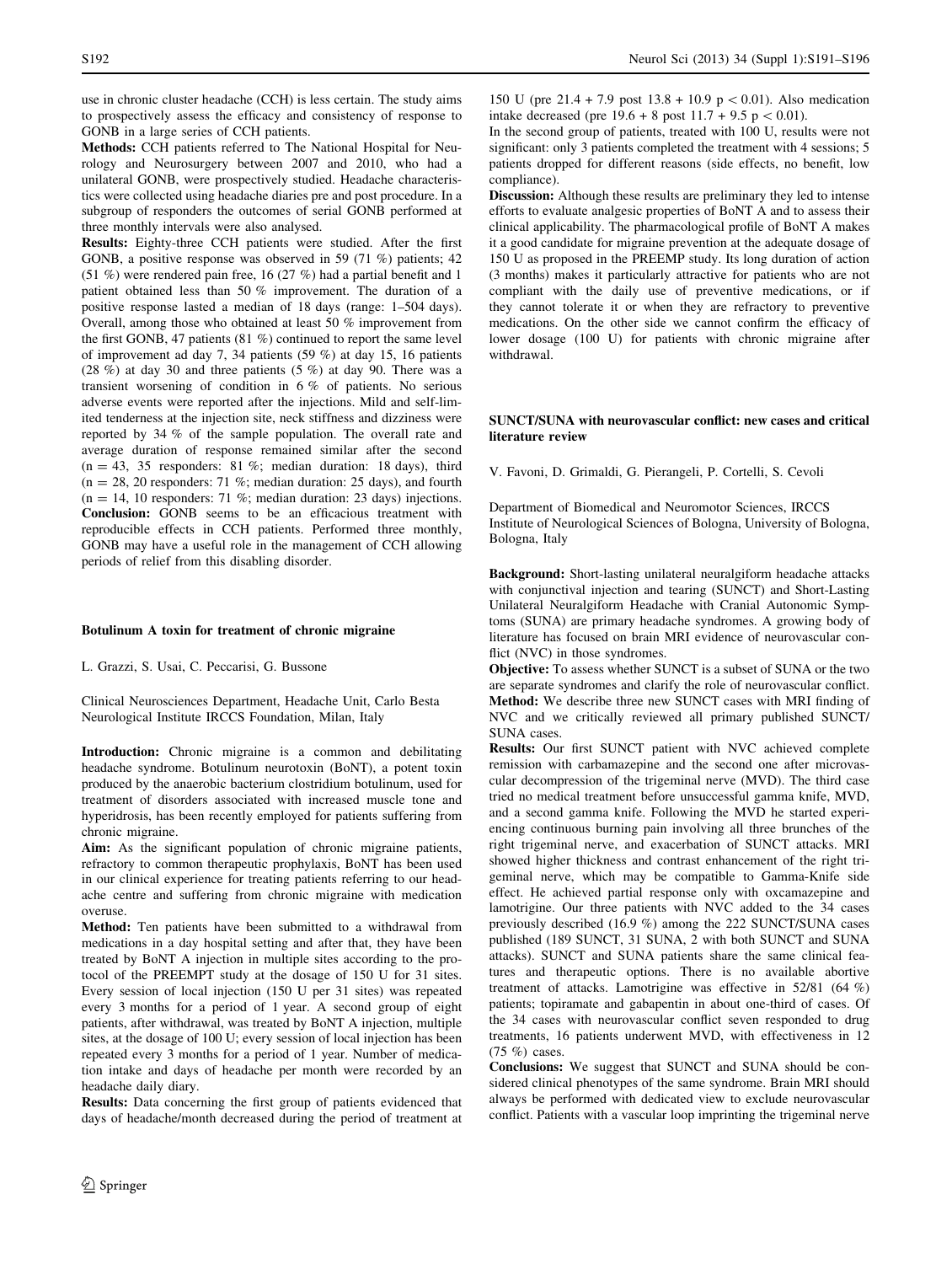use in chronic cluster headache (CCH) is less certain. The study aims to prospectively assess the efficacy and consistency of response to GONB in a large series of CCH patients.

Methods: CCH patients referred to The National Hospital for Neurology and Neurosurgery between 2007 and 2010, who had a unilateral GONB, were prospectively studied. Headache characteristics were collected using headache diaries pre and post procedure. In a subgroup of responders the outcomes of serial GONB performed at three monthly intervals were also analysed.

Results: Eighty-three CCH patients were studied. After the first GONB, a positive response was observed in 59 (71 %) patients; 42 (51 %) were rendered pain free, 16 (27 %) had a partial benefit and 1 patient obtained less than 50 % improvement. The duration of a positive response lasted a median of 18 days (range: 1–504 days). Overall, among those who obtained at least 50 % improvement from the first GONB, 47 patients (81 %) continued to report the same level of improvement ad day 7, 34 patients (59 %) at day 15, 16 patients  $(28 \%)$  at day 30 and three patients  $(5 \%)$  at day 90. There was a transient worsening of condition in 6 % of patients. No serious adverse events were reported after the injections. Mild and self-limited tenderness at the injection site, neck stiffness and dizziness were reported by 34 % of the sample population. The overall rate and average duration of response remained similar after the second  $(n = 43, 35$  responders: 81 %; median duration: 18 days), third  $(n = 28, 20$  responders: 71 %; median duration: 25 days), and fourth  $(n = 14, 10$  responders: 71 %; median duration: 23 days) injections. Conclusion: GONB seems to be an efficacious treatment with reproducible effects in CCH patients. Performed three monthly, GONB may have a useful role in the management of CCH allowing periods of relief from this disabling disorder.

#### Botulinum A toxin for treatment of chronic migraine

L. Grazzi, S. Usai, C. Peccarisi, G. Bussone

Clinical Neurosciences Department, Headache Unit, Carlo Besta Neurological Institute IRCCS Foundation, Milan, Italy

Introduction: Chronic migraine is a common and debilitating headache syndrome. Botulinum neurotoxin (BoNT), a potent toxin produced by the anaerobic bacterium clostridium botulinum, used for treatment of disorders associated with increased muscle tone and hyperidrosis, has been recently employed for patients suffering from chronic migraine.

Aim: As the significant population of chronic migraine patients, refractory to common therapeutic prophylaxis, BoNT has been used in our clinical experience for treating patients referring to our headache centre and suffering from chronic migraine with medication overuse.

Method: Ten patients have been submitted to a withdrawal from medications in a day hospital setting and after that, they have been treated by BoNT A injection in multiple sites according to the protocol of the PREEMPT study at the dosage of 150 U for 31 sites. Every session of local injection (150 U per 31 sites) was repeated every 3 months for a period of 1 year. A second group of eight patients, after withdrawal, was treated by BoNT A injection, multiple sites, at the dosage of 100 U; every session of local injection has been repeated every 3 months for a period of 1 year. Number of medication intake and days of headache per month were recorded by an headache daily diary.

Results: Data concerning the first group of patients evidenced that days of headache/month decreased during the period of treatment at

150 U (pre  $21.4 + 7.9$  post  $13.8 + 10.9$  p  $\lt 0.01$ ). Also medication intake decreased (pre  $19.6 + 8$  post  $11.7 + 9.5$  p < 0.01).

In the second group of patients, treated with 100 U, results were not significant: only 3 patients completed the treatment with 4 sessions; 5 patients dropped for different reasons (side effects, no benefit, low compliance).

Discussion: Although these results are preliminary they led to intense efforts to evaluate analgesic properties of BoNT A and to assess their clinical applicability. The pharmacological profile of BoNT A makes it a good candidate for migraine prevention at the adequate dosage of 150 U as proposed in the PREEMP study. Its long duration of action (3 months) makes it particularly attractive for patients who are not compliant with the daily use of preventive medications, or if they cannot tolerate it or when they are refractory to preventive medications. On the other side we cannot confirm the efficacy of lower dosage (100 U) for patients with chronic migraine after withdrawal.

### SUNCT/SUNA with neurovascular conflict: new cases and critical literature review

V. Favoni, D. Grimaldi, G. Pierangeli, P. Cortelli, S. Cevoli

Department of Biomedical and Neuromotor Sciences, IRCCS Institute of Neurological Sciences of Bologna, University of Bologna, Bologna, Italy

Background: Short-lasting unilateral neuralgiform headache attacks with conjunctival injection and tearing (SUNCT) and Short-Lasting Unilateral Neuralgiform Headache with Cranial Autonomic Symptoms (SUNA) are primary headache syndromes. A growing body of literature has focused on brain MRI evidence of neurovascular conflict (NVC) in those syndromes.

Objective: To assess whether SUNCT is a subset of SUNA or the two are separate syndromes and clarify the role of neurovascular conflict. Method: We describe three new SUNCT cases with MRI finding of NVC and we critically reviewed all primary published SUNCT/ SUNA cases.

Results: Our first SUNCT patient with NVC achieved complete remission with carbamazepine and the second one after microvascular decompression of the trigeminal nerve (MVD). The third case tried no medical treatment before unsuccessful gamma knife, MVD, and a second gamma knife. Following the MVD he started experiencing continuous burning pain involving all three brunches of the right trigeminal nerve, and exacerbation of SUNCT attacks. MRI showed higher thickness and contrast enhancement of the right trigeminal nerve, which may be compatible to Gamma-Knife side effect. He achieved partial response only with oxcamazepine and lamotrigine. Our three patients with NVC added to the 34 cases previously described (16.9 %) among the 222 SUNCT/SUNA cases published (189 SUNCT, 31 SUNA, 2 with both SUNCT and SUNA attacks). SUNCT and SUNA patients share the same clinical features and therapeutic options. There is no available abortive treatment of attacks. Lamotrigine was effective in 52/81 (64 %) patients; topiramate and gabapentin in about one-third of cases. Of the 34 cases with neurovascular conflict seven responded to drug treatments, 16 patients underwent MVD, with effectiveness in 12 (75 %) cases.

Conclusions: We suggest that SUNCT and SUNA should be considered clinical phenotypes of the same syndrome. Brain MRI should always be performed with dedicated view to exclude neurovascular conflict. Patients with a vascular loop imprinting the trigeminal nerve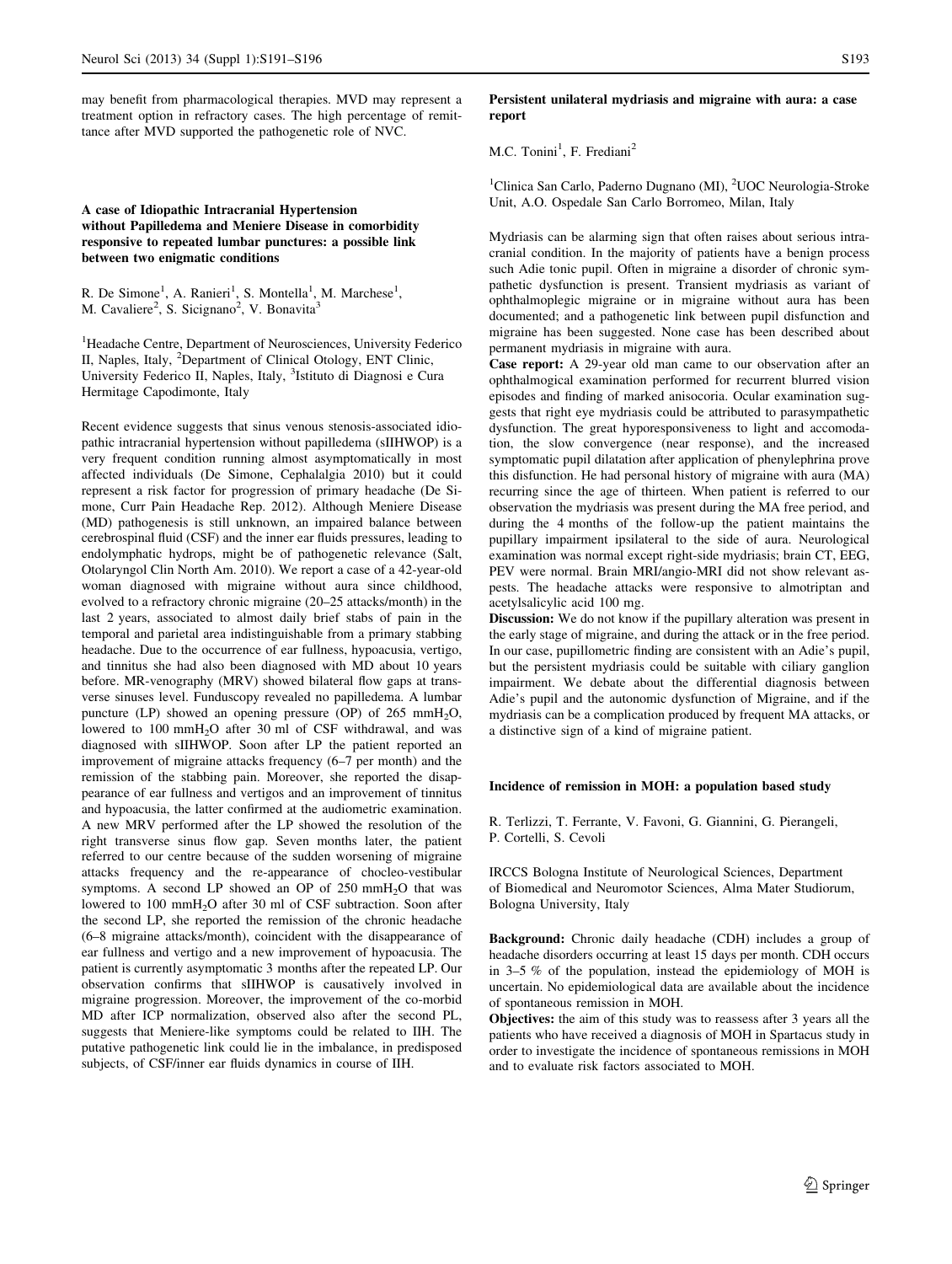may benefit from pharmacological therapies. MVD may represent a treatment option in refractory cases. The high percentage of remittance after MVD supported the pathogenetic role of NVC.

# A case of Idiopathic Intracranial Hypertension without Papilledema and Meniere Disease in comorbidity responsive to repeated lumbar punctures: a possible link between two enigmatic conditions

R. De Simone<sup>1</sup>, A. Ranieri<sup>1</sup>, S. Montella<sup>1</sup>, M. Marchese<sup>1</sup>, M. Cavaliere<sup>2</sup>, S. Sicignano<sup>2</sup>, V. Bonavita<sup>3</sup>

<sup>1</sup>Headache Centre, Department of Neurosciences, University Federico II, Naples, Italy, <sup>2</sup>Department of Clinical Otology, ENT Clinic, University Federico II, Naples, Italy, <sup>3</sup>Istituto di Diagnosi e Cura Hermitage Capodimonte, Italy

Recent evidence suggests that sinus venous stenosis-associated idiopathic intracranial hypertension without papilledema (sIIHWOP) is a very frequent condition running almost asymptomatically in most affected individuals (De Simone, Cephalalgia 2010) but it could represent a risk factor for progression of primary headache (De Simone, Curr Pain Headache Rep. 2012). Although Meniere Disease (MD) pathogenesis is still unknown, an impaired balance between cerebrospinal fluid (CSF) and the inner ear fluids pressures, leading to endolymphatic hydrops, might be of pathogenetic relevance (Salt, Otolaryngol Clin North Am. 2010). We report a case of a 42-year-old woman diagnosed with migraine without aura since childhood, evolved to a refractory chronic migraine (20–25 attacks/month) in the last 2 years, associated to almost daily brief stabs of pain in the temporal and parietal area indistinguishable from a primary stabbing headache. Due to the occurrence of ear fullness, hypoacusia, vertigo, and tinnitus she had also been diagnosed with MD about 10 years before. MR-venography (MRV) showed bilateral flow gaps at transverse sinuses level. Funduscopy revealed no papilledema. A lumbar puncture (LP) showed an opening pressure (OP) of 265 mmH2O, lowered to 100 mmH<sub>2</sub>O after 30 ml of CSF withdrawal, and was diagnosed with sIIHWOP. Soon after LP the patient reported an improvement of migraine attacks frequency (6–7 per month) and the remission of the stabbing pain. Moreover, she reported the disappearance of ear fullness and vertigos and an improvement of tinnitus and hypoacusia, the latter confirmed at the audiometric examination. A new MRV performed after the LP showed the resolution of the right transverse sinus flow gap. Seven months later, the patient referred to our centre because of the sudden worsening of migraine attacks frequency and the re-appearance of chocleo-vestibular symptoms. A second LP showed an OP of  $250 \text{ mm}H_2O$  that was lowered to 100 mmH2O after 30 ml of CSF subtraction. Soon after the second LP, she reported the remission of the chronic headache (6–8 migraine attacks/month), coincident with the disappearance of ear fullness and vertigo and a new improvement of hypoacusia. The patient is currently asymptomatic 3 months after the repeated LP. Our observation confirms that sIIHWOP is causatively involved in migraine progression. Moreover, the improvement of the co-morbid MD after ICP normalization, observed also after the second PL, suggests that Meniere-like symptoms could be related to IIH. The putative pathogenetic link could lie in the imbalance, in predisposed subjects, of CSF/inner ear fluids dynamics in course of IIH.

### Persistent unilateral mydriasis and migraine with aura: a case report

M.C. Tonini<sup>1</sup>, F. Frediani<sup>2</sup>

<sup>1</sup>Clinica San Carlo, Paderno Dugnano (MI), <sup>2</sup>UOC Neurologia-Stroke Unit, A.O. Ospedale San Carlo Borromeo, Milan, Italy

Mydriasis can be alarming sign that often raises about serious intracranial condition. In the majority of patients have a benign process such Adie tonic pupil. Often in migraine a disorder of chronic sympathetic dysfunction is present. Transient mydriasis as variant of ophthalmoplegic migraine or in migraine without aura has been documented; and a pathogenetic link between pupil disfunction and migraine has been suggested. None case has been described about permanent mydriasis in migraine with aura.

Case report: A 29-year old man came to our observation after an ophthalmogical examination performed for recurrent blurred vision episodes and finding of marked anisocoria. Ocular examination suggests that right eye mydriasis could be attributed to parasympathetic dysfunction. The great hyporesponsiveness to light and accomodation, the slow convergence (near response), and the increased symptomatic pupil dilatation after application of phenylephrina prove this disfunction. He had personal history of migraine with aura (MA) recurring since the age of thirteen. When patient is referred to our observation the mydriasis was present during the MA free period, and during the 4 months of the follow-up the patient maintains the pupillary impairment ipsilateral to the side of aura. Neurological examination was normal except right-side mydriasis; brain CT, EEG, PEV were normal. Brain MRI/angio-MRI did not show relevant aspests. The headache attacks were responsive to almotriptan and acetylsalicylic acid 100 mg.

Discussion: We do not know if the pupillary alteration was present in the early stage of migraine, and during the attack or in the free period. In our case, pupillometric finding are consistent with an Adie's pupil, but the persistent mydriasis could be suitable with ciliary ganglion impairment. We debate about the differential diagnosis between Adie's pupil and the autonomic dysfunction of Migraine, and if the mydriasis can be a complication produced by frequent MA attacks, or a distinctive sign of a kind of migraine patient.

#### Incidence of remission in MOH: a population based study

R. Terlizzi, T. Ferrante, V. Favoni, G. Giannini, G. Pierangeli, P. Cortelli, S. Cevoli

IRCCS Bologna Institute of Neurological Sciences, Department of Biomedical and Neuromotor Sciences, Alma Mater Studiorum, Bologna University, Italy

Background: Chronic daily headache (CDH) includes a group of headache disorders occurring at least 15 days per month. CDH occurs in 3–5 % of the population, instead the epidemiology of MOH is uncertain. No epidemiological data are available about the incidence of spontaneous remission in MOH.

Objectives: the aim of this study was to reassess after 3 years all the patients who have received a diagnosis of MOH in Spartacus study in order to investigate the incidence of spontaneous remissions in MOH and to evaluate risk factors associated to MOH.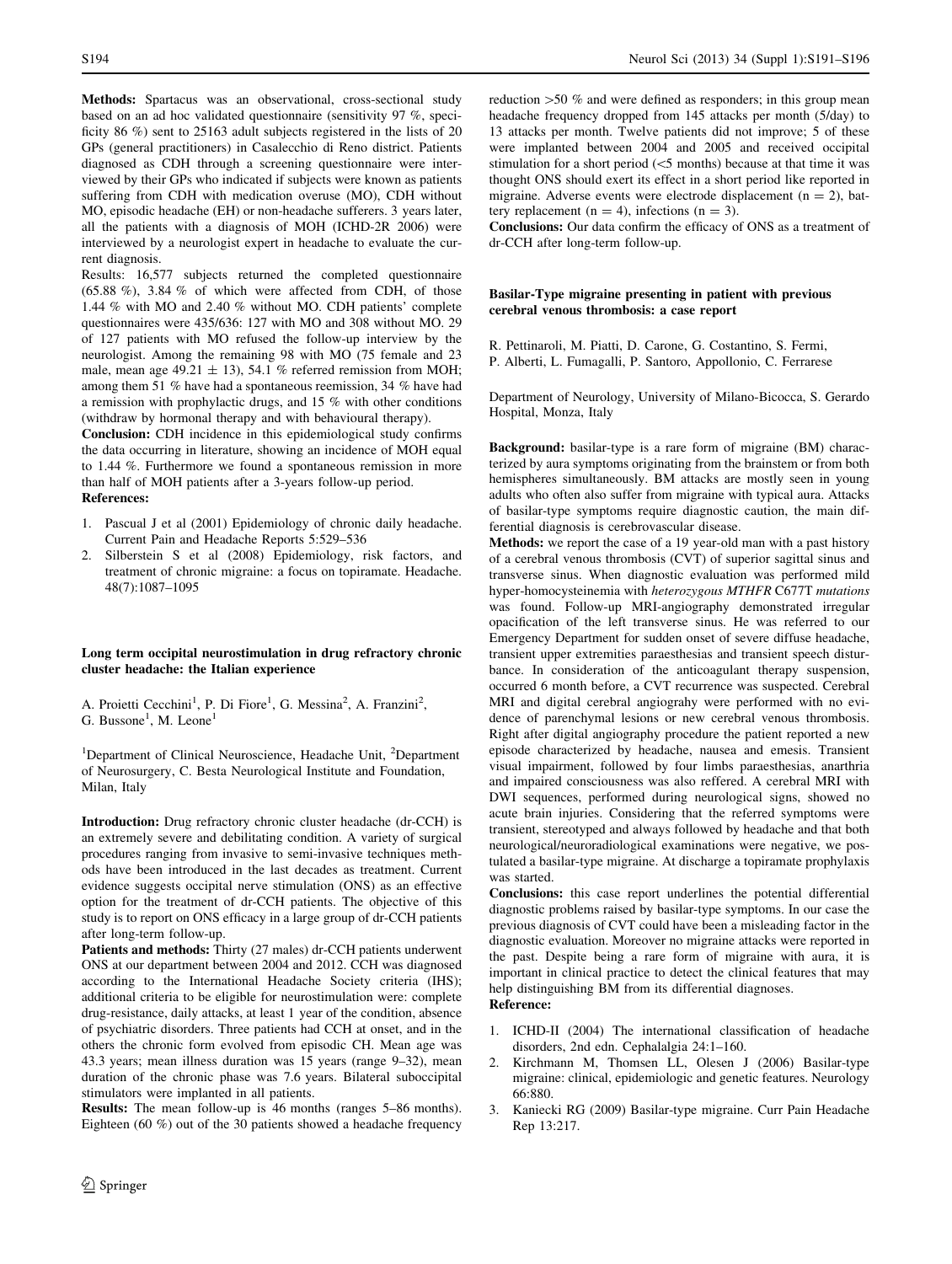Methods: Spartacus was an observational, cross-sectional study based on an ad hoc validated questionnaire (sensitivity 97 %, specificity 86 %) sent to 25163 adult subjects registered in the lists of 20 GPs (general practitioners) in Casalecchio di Reno district. Patients diagnosed as CDH through a screening questionnaire were interviewed by their GPs who indicated if subjects were known as patients suffering from CDH with medication overuse (MO), CDH without MO, episodic headache (EH) or non-headache sufferers. 3 years later, all the patients with a diagnosis of MOH (ICHD-2R 2006) were interviewed by a neurologist expert in headache to evaluate the current diagnosis.

Results: 16,577 subjects returned the completed questionnaire  $(65.88\%)$ , 3.84 % of which were affected from CDH, of those 1.44 % with MO and 2.40 % without MO. CDH patients' complete questionnaires were 435/636: 127 with MO and 308 without MO. 29 of 127 patients with MO refused the follow-up interview by the neurologist. Among the remaining 98 with MO (75 female and 23 male, mean age  $49.21 \pm 13$ ), 54.1 % referred remission from MOH; among them 51 % have had a spontaneous reemission, 34 % have had a remission with prophylactic drugs, and 15 % with other conditions (withdraw by hormonal therapy and with behavioural therapy).

Conclusion: CDH incidence in this epidemiological study confirms the data occurring in literature, showing an incidence of MOH equal to 1.44 %. Furthermore we found a spontaneous remission in more than half of MOH patients after a 3-years follow-up period. References:

- 1. Pascual J et al (2001) Epidemiology of chronic daily headache. Current Pain and Headache Reports 5:529–536
- Silberstein S et al (2008) Epidemiology, risk factors, and treatment of chronic migraine: a focus on topiramate. Headache. 48(7):1087–1095

### Long term occipital neurostimulation in drug refractory chronic cluster headache: the Italian experience

A. Proietti Cecchini<sup>1</sup>, P. Di Fiore<sup>1</sup>, G. Messina<sup>2</sup>, A. Franzini<sup>2</sup>, G. Bussone<sup>1</sup>, M. Leone<sup>1</sup>

<sup>1</sup>Department of Clinical Neuroscience, Headache Unit, <sup>2</sup>Department of Neurosurgery, C. Besta Neurological Institute and Foundation, Milan, Italy

Introduction: Drug refractory chronic cluster headache (dr-CCH) is an extremely severe and debilitating condition. A variety of surgical procedures ranging from invasive to semi-invasive techniques methods have been introduced in the last decades as treatment. Current evidence suggests occipital nerve stimulation (ONS) as an effective option for the treatment of dr-CCH patients. The objective of this study is to report on ONS efficacy in a large group of dr-CCH patients after long-term follow-up.

Patients and methods: Thirty (27 males) dr-CCH patients underwent ONS at our department between 2004 and 2012. CCH was diagnosed according to the International Headache Society criteria (IHS); additional criteria to be eligible for neurostimulation were: complete drug-resistance, daily attacks, at least 1 year of the condition, absence of psychiatric disorders. Three patients had CCH at onset, and in the others the chronic form evolved from episodic CH. Mean age was 43.3 years; mean illness duration was 15 years (range 9–32), mean duration of the chronic phase was 7.6 years. Bilateral suboccipital stimulators were implanted in all patients.

Results: The mean follow-up is 46 months (ranges 5–86 months). Eighteen (60 %) out of the 30 patients showed a headache frequency

reduction  $>50$  % and were defined as responders; in this group mean headache frequency dropped from 145 attacks per month (5/day) to 13 attacks per month. Twelve patients did not improve; 5 of these were implanted between 2004 and 2005 and received occipital stimulation for a short period  $(<5$  months) because at that time it was thought ONS should exert its effect in a short period like reported in migraine. Adverse events were electrode displacement  $(n = 2)$ , battery replacement ( $n = 4$ ), infections ( $n = 3$ ).

Conclusions: Our data confirm the efficacy of ONS as a treatment of dr-CCH after long-term follow-up.

# Basilar-Type migraine presenting in patient with previous cerebral venous thrombosis: a case report

R. Pettinaroli, M. Piatti, D. Carone, G. Costantino, S. Fermi, P. Alberti, L. Fumagalli, P. Santoro, Appollonio, C. Ferrarese

Department of Neurology, University of Milano-Bicocca, S. Gerardo Hospital, Monza, Italy

Background: basilar-type is a rare form of migraine (BM) characterized by aura symptoms originating from the brainstem or from both hemispheres simultaneously. BM attacks are mostly seen in young adults who often also suffer from migraine with typical aura. Attacks of basilar-type symptoms require diagnostic caution, the main differential diagnosis is cerebrovascular disease.

Methods: we report the case of a 19 year-old man with a past history of a cerebral venous thrombosis (CVT) of superior sagittal sinus and transverse sinus. When diagnostic evaluation was performed mild hyper-homocysteinemia with heterozygous MTHFR C677T mutations was found. Follow-up MRI-angiography demonstrated irregular opacification of the left transverse sinus. He was referred to our Emergency Department for sudden onset of severe diffuse headache, transient upper extremities paraesthesias and transient speech disturbance. In consideration of the anticoagulant therapy suspension, occurred 6 month before, a CVT recurrence was suspected. Cerebral MRI and digital cerebral angiograhy were performed with no evidence of parenchymal lesions or new cerebral venous thrombosis. Right after digital angiography procedure the patient reported a new episode characterized by headache, nausea and emesis. Transient visual impairment, followed by four limbs paraesthesias, anarthria and impaired consciousness was also reffered. A cerebral MRI with DWI sequences, performed during neurological signs, showed no acute brain injuries. Considering that the referred symptoms were transient, stereotyped and always followed by headache and that both neurological/neuroradiological examinations were negative, we postulated a basilar-type migraine. At discharge a topiramate prophylaxis was started.

Conclusions: this case report underlines the potential differential diagnostic problems raised by basilar-type symptoms. In our case the previous diagnosis of CVT could have been a misleading factor in the diagnostic evaluation. Moreover no migraine attacks were reported in the past. Despite being a rare form of migraine with aura, it is important in clinical practice to detect the clinical features that may help distinguishing BM from its differential diagnoses. Reference:

- 1. ICHD-II (2004) The international classification of headache disorders, 2nd edn. Cephalalgia 24:1–160.
- 2. Kirchmann M, Thomsen LL, Olesen J (2006) Basilar-type migraine: clinical, epidemiologic and genetic features. Neurology 66:880.
- 3. Kaniecki RG (2009) Basilar-type migraine. Curr Pain Headache Rep 13:217.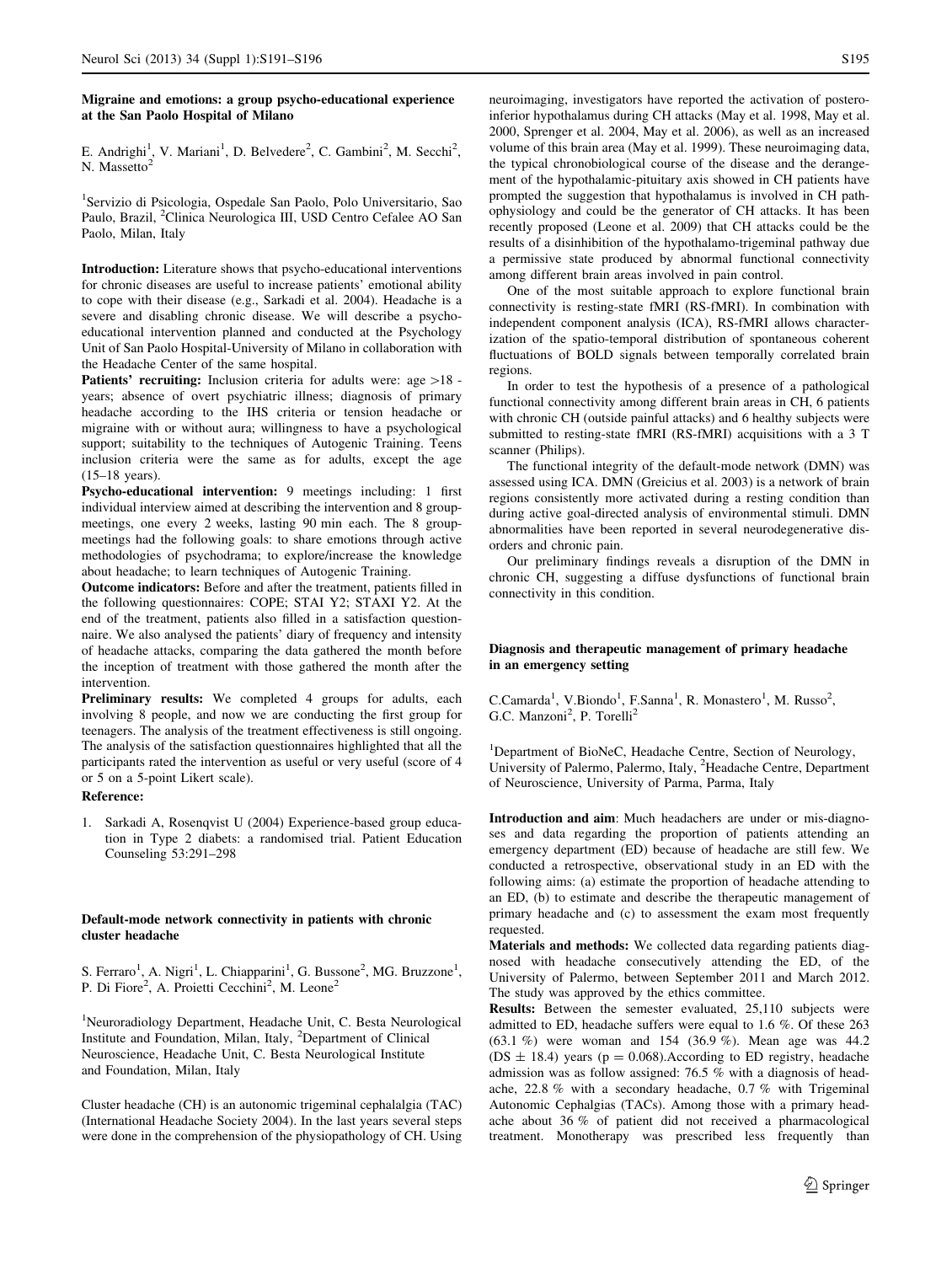## Migraine and emotions: a group psycho-educational experience at the San Paolo Hospital of Milano

E. Andrighi<sup>1</sup>, V. Mariani<sup>1</sup>, D. Belvedere<sup>2</sup>, C. Gambini<sup>2</sup>, M. Secchi<sup>2</sup>, N. Massetto<sup>2</sup>

1 Servizio di Psicologia, Ospedale San Paolo, Polo Universitario, Sao Paulo, Brazil, <sup>2</sup>Clinica Neurologica III, USD Centro Cefalee AO San Paolo, Milan, Italy

Introduction: Literature shows that psycho-educational interventions for chronic diseases are useful to increase patients' emotional ability to cope with their disease (e.g., Sarkadi et al. 2004). Headache is a severe and disabling chronic disease. We will describe a psychoeducational intervention planned and conducted at the Psychology Unit of San Paolo Hospital-University of Milano in collaboration with the Headache Center of the same hospital.

Patients' recruiting: Inclusion criteria for adults were:  $age > 18$ years; absence of overt psychiatric illness; diagnosis of primary headache according to the IHS criteria or tension headache or migraine with or without aura; willingness to have a psychological support; suitability to the techniques of Autogenic Training. Teens inclusion criteria were the same as for adults, except the age (15–18 years).

Psycho-educational intervention: 9 meetings including: 1 first individual interview aimed at describing the intervention and 8 groupmeetings, one every 2 weeks, lasting 90 min each. The 8 groupmeetings had the following goals: to share emotions through active methodologies of psychodrama; to explore/increase the knowledge about headache; to learn techniques of Autogenic Training.

Outcome indicators: Before and after the treatment, patients filled in the following questionnaires: COPE; STAI Y2; STAXI Y2. At the end of the treatment, patients also filled in a satisfaction questionnaire. We also analysed the patients' diary of frequency and intensity of headache attacks, comparing the data gathered the month before the inception of treatment with those gathered the month after the intervention.

Preliminary results: We completed 4 groups for adults, each involving 8 people, and now we are conducting the first group for teenagers. The analysis of the treatment effectiveness is still ongoing. The analysis of the satisfaction questionnaires highlighted that all the participants rated the intervention as useful or very useful (score of 4 or 5 on a 5-point Likert scale).

## Reference:

1. Sarkadi A, Rosenqvist U (2004) Experience-based group education in Type 2 diabets: a randomised trial. Patient Education Counseling 53:291–298

# Default-mode network connectivity in patients with chronic cluster headache

S. Ferraro<sup>1</sup>, A. Nigri<sup>1</sup>, L. Chiapparini<sup>1</sup>, G. Bussone<sup>2</sup>, MG. Bruzzone<sup>1</sup>, P. Di Fiore<sup>2</sup>, A. Proietti Cecchini<sup>2</sup>, M. Leone<sup>2</sup>

1 Neuroradiology Department, Headache Unit, C. Besta Neurological Institute and Foundation, Milan, Italy, <sup>2</sup>Department of Clinical Neuroscience, Headache Unit, C. Besta Neurological Institute and Foundation, Milan, Italy

Cluster headache (CH) is an autonomic trigeminal cephalalgia (TAC) (International Headache Society 2004). In the last years several steps were done in the comprehension of the physiopathology of CH. Using neuroimaging, investigators have reported the activation of posteroinferior hypothalamus during CH attacks (May et al. 1998, May et al. 2000, Sprenger et al. 2004, May et al. 2006), as well as an increased volume of this brain area (May et al. 1999). These neuroimaging data, the typical chronobiological course of the disease and the derangement of the hypothalamic-pituitary axis showed in CH patients have prompted the suggestion that hypothalamus is involved in CH pathophysiology and could be the generator of CH attacks. It has been recently proposed (Leone et al. 2009) that CH attacks could be the results of a disinhibition of the hypothalamo-trigeminal pathway due a permissive state produced by abnormal functional connectivity among different brain areas involved in pain control.

One of the most suitable approach to explore functional brain connectivity is resting-state fMRI (RS-fMRI). In combination with independent component analysis (ICA), RS-fMRI allows characterization of the spatio-temporal distribution of spontaneous coherent fluctuations of BOLD signals between temporally correlated brain regions.

In order to test the hypothesis of a presence of a pathological functional connectivity among different brain areas in CH, 6 patients with chronic CH (outside painful attacks) and 6 healthy subjects were submitted to resting-state fMRI (RS-fMRI) acquisitions with a 3 T scanner (Philips).

The functional integrity of the default-mode network (DMN) was assessed using ICA. DMN (Greicius et al. 2003) is a network of brain regions consistently more activated during a resting condition than during active goal-directed analysis of environmental stimuli. DMN abnormalities have been reported in several neurodegenerative disorders and chronic pain.

Our preliminary findings reveals a disruption of the DMN in chronic CH, suggesting a diffuse dysfunctions of functional brain connectivity in this condition.

## Diagnosis and therapeutic management of primary headache in an emergency setting

C.Camarda<sup>1</sup>, V.Biondo<sup>1</sup>, F.Sanna<sup>1</sup>, R. Monastero<sup>1</sup>, M. Russo<sup>2</sup>, G.C. Manzoni<sup>2</sup>, P. Torelli<sup>2</sup>

<sup>1</sup>Department of BioNeC, Headache Centre, Section of Neurology, University of Palermo, Palermo, Italy, <sup>2</sup>Headache Centre, Department of Neuroscience, University of Parma, Parma, Italy

Introduction and aim: Much headachers are under or mis-diagnoses and data regarding the proportion of patients attending an emergency department (ED) because of headache are still few. We conducted a retrospective, observational study in an ED with the following aims: (a) estimate the proportion of headache attending to an ED, (b) to estimate and describe the therapeutic management of primary headache and (c) to assessment the exam most frequently requested.

Materials and methods: We collected data regarding patients diagnosed with headache consecutively attending the ED, of the University of Palermo, between September 2011 and March 2012. The study was approved by the ethics committee.

Results: Between the semester evaluated, 25,110 subjects were admitted to ED, headache suffers were equal to 1.6 %. Of these 263 (63.1 %) were woman and 154 (36.9 %). Mean age was 44.2 (DS  $\pm$  18.4) years (p = 0.068). According to ED registry, headache admission was as follow assigned: 76.5 % with a diagnosis of headache, 22.8 % with a secondary headache, 0.7 % with Trigeminal Autonomic Cephalgias (TACs). Among those with a primary headache about 36 % of patient did not received a pharmacological treatment. Monotherapy was prescribed less frequently than